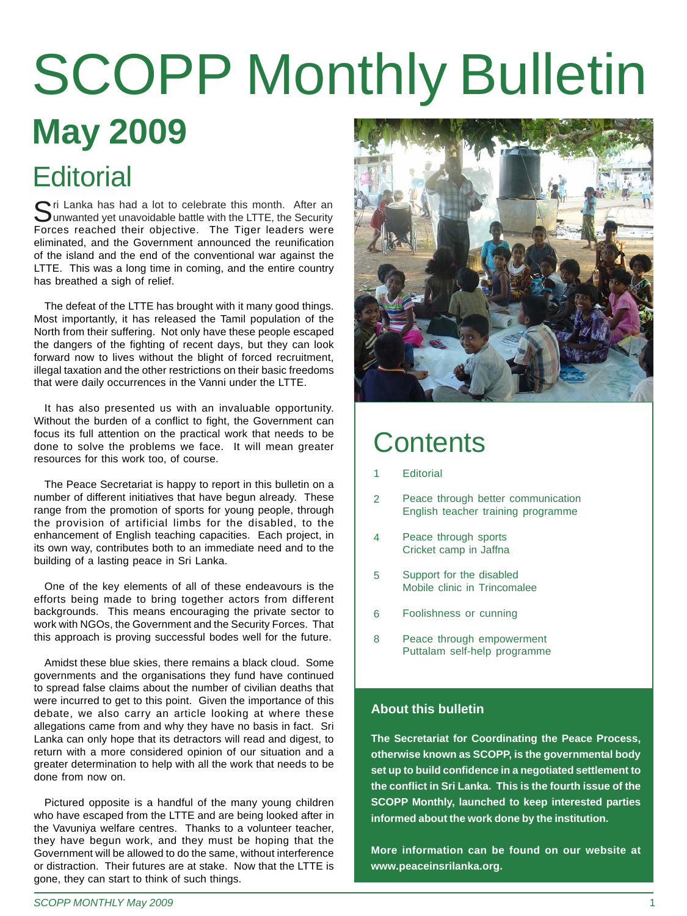# **May 2009** SCOPP Monthly Bulletin

### **Editorial**

 $\bigcap$ ri Lanka has had a lot to celebrate this month. After an Uunwanted yet unavoidable battle with the LTTE, the Security Forces reached their objective. The Tiger leaders were eliminated, and the Government announced the reunification of the island and the end of the conventional war against the LTTE. This was a long time in coming, and the entire country has breathed a sigh of relief.

The defeat of the LTTE has brought with it many good things. Most importantly, it has released the Tamil population of the North from their suffering. Not only have these people escaped the dangers of the fighting of recent days, but they can look forward now to lives without the blight of forced recruitment, illegal taxation and the other restrictions on their basic freedoms that were daily occurrences in the Vanni under the LTTE.

It has also presented us with an invaluable opportunity. Without the burden of a conflict to fight, the Government can focus its full attention on the practical work that needs to be done to solve the problems we face. It will mean greater resources for this work too, of course.

The Peace Secretariat is happy to report in this bulletin on a number of different initiatives that have begun already. These range from the promotion of sports for young people, through the provision of artificial limbs for the disabled, to the enhancement of English teaching capacities. Each project, in its own way, contributes both to an immediate need and to the building of a lasting peace in Sri Lanka.

One of the key elements of all of these endeavours is the efforts being made to bring together actors from different backgrounds. This means encouraging the private sector to work with NGOs, the Government and the Security Forces. That this approach is proving successful bodes well for the future.

Amidst these blue skies, there remains a black cloud. Some governments and the organisations they fund have continued to spread false claims about the number of civilian deaths that were incurred to get to this point. Given the importance of this debate, we also carry an article looking at where these allegations came from and why they have no basis in fact. Sri Lanka can only hope that its detractors will read and digest, to return with a more considered opinion of our situation and a greater determination to help with all the work that needs to be done from now on.

Pictured opposite is a handful of the many young children who have escaped from the LTTE and are being looked after in the Vavuniya welfare centres. Thanks to a volunteer teacher, they have begun work, and they must be hoping that the Government will be allowed to do the same, without interference or distraction. Their futures are at stake. Now that the LTTE is gone, they can start to think of such things.



#### **Contents**

- **Editorial** 1
- Peace through better communication English teacher training programme  $\overline{2}$
- Peace through sports Cricket camp in Jaffna 4
- Support for the disabled Mobile clinic in Trincomalee 5
- Foolishness or cunning 6
- Peace through empowerment Puttalam self-help programme 8

#### **About this bulletin**

**The Secretariat for Coordinating the Peace Process, otherwise known as SCOPP, is the governmental body set up to build confidence in a negotiated settlement to the conflict in Sri Lanka. This is the fourth issue of the SCOPP Monthly, launched to keep interested parties informed about the work done by the institution.**

**More information can be found on our website at www.peaceinsrilanka.org.**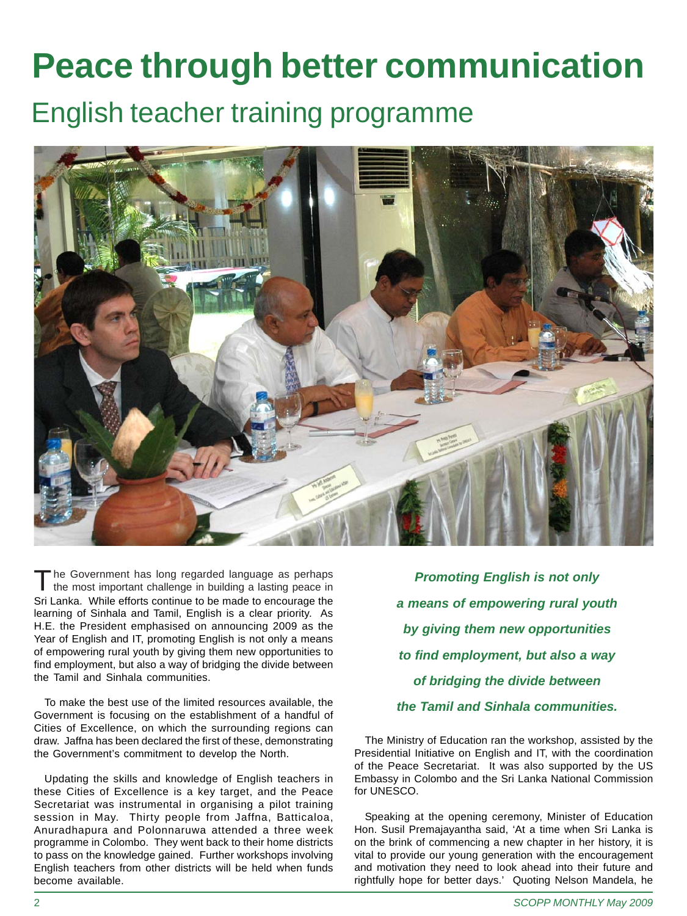### **Peace through better communication**

#### English teacher training programme



he Government has long regarded language as perhaps the most important challenge in building a lasting peace in Sri Lanka. While efforts continue to be made to encourage the learning of Sinhala and Tamil, English is a clear priority. As H.E. the President emphasised on announcing 2009 as the Year of English and IT, promoting English is not only a means of empowering rural youth by giving them new opportunities to find employment, but also a way of bridging the divide between the Tamil and Sinhala communities.

To make the best use of the limited resources available, the Government is focusing on the establishment of a handful of Cities of Excellence, on which the surrounding regions can draw. Jaffna has been declared the first of these, demonstrating the Government's commitment to develop the North.

Updating the skills and knowledge of English teachers in these Cities of Excellence is a key target, and the Peace Secretariat was instrumental in organising a pilot training session in May. Thirty people from Jaffna, Batticaloa, Anuradhapura and Polonnaruwa attended a three week programme in Colombo. They went back to their home districts to pass on the knowledge gained. Further workshops involving English teachers from other districts will be held when funds become available.

*Promoting English is not only a means of empowering rural youth by giving them new opportunities to find employment, but also a way of bridging the divide between the Tamil and Sinhala communities.*

The Ministry of Education ran the workshop, assisted by the Presidential Initiative on English and IT, with the coordination of the Peace Secretariat. It was also supported by the US Embassy in Colombo and the Sri Lanka National Commission for UNESCO.

Speaking at the opening ceremony, Minister of Education Hon. Susil Premajayantha said, 'At a time when Sri Lanka is on the brink of commencing a new chapter in her history, it is vital to provide our young generation with the encouragement and motivation they need to look ahead into their future and rightfully hope for better days.' Quoting Nelson Mandela, he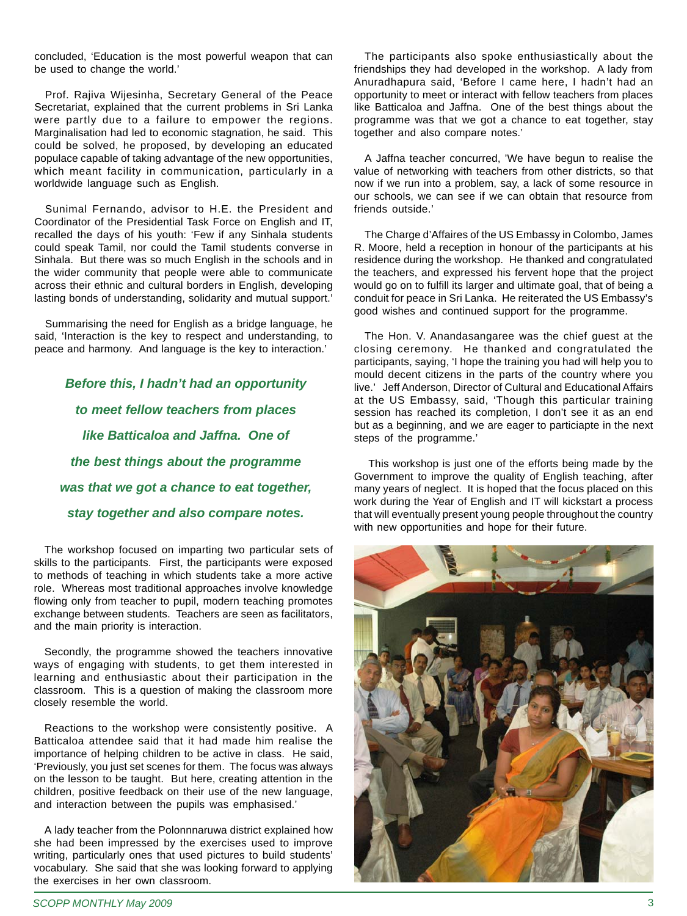concluded, 'Education is the most powerful weapon that can be used to change the world.'

Prof. Rajiva Wijesinha, Secretary General of the Peace Secretariat, explained that the current problems in Sri Lanka were partly due to a failure to empower the regions. Marginalisation had led to economic stagnation, he said. This could be solved, he proposed, by developing an educated populace capable of taking advantage of the new opportunities, which meant facility in communication, particularly in a worldwide language such as English.

Sunimal Fernando, advisor to H.E. the President and Coordinator of the Presidential Task Force on English and IT, recalled the days of his youth: 'Few if any Sinhala students could speak Tamil, nor could the Tamil students converse in Sinhala. But there was so much English in the schools and in the wider community that people were able to communicate across their ethnic and cultural borders in English, developing lasting bonds of understanding, solidarity and mutual support.'

Summarising the need for English as a bridge language, he said, 'Interaction is the key to respect and understanding, to peace and harmony. And language is the key to interaction.'

*Before this, I hadn't had an opportunity to meet fellow teachers from places like Batticaloa and Jaffna. One of the best things about the programme was that we got a chance to eat together, stay together and also compare notes.*

The workshop focused on imparting two particular sets of skills to the participants. First, the participants were exposed to methods of teaching in which students take a more active role. Whereas most traditional approaches involve knowledge flowing only from teacher to pupil, modern teaching promotes exchange between students. Teachers are seen as facilitators, and the main priority is interaction.

Secondly, the programme showed the teachers innovative ways of engaging with students, to get them interested in learning and enthusiastic about their participation in the classroom. This is a question of making the classroom more closely resemble the world.

Reactions to the workshop were consistently positive. A Batticaloa attendee said that it had made him realise the importance of helping children to be active in class. He said, 'Previously, you just set scenes for them. The focus was always on the lesson to be taught. But here, creating attention in the children, positive feedback on their use of the new language, and interaction between the pupils was emphasised.'

A lady teacher from the Polonnnaruwa district explained how she had been impressed by the exercises used to improve writing, particularly ones that used pictures to build students' vocabulary. She said that she was looking forward to applying the exercises in her own classroom.

The participants also spoke enthusiastically about the friendships they had developed in the workshop. A lady from Anuradhapura said, 'Before I came here, I hadn't had an opportunity to meet or interact with fellow teachers from places like Batticaloa and Jaffna. One of the best things about the programme was that we got a chance to eat together, stay together and also compare notes.'

A Jaffna teacher concurred, 'We have begun to realise the value of networking with teachers from other districts, so that now if we run into a problem, say, a lack of some resource in our schools, we can see if we can obtain that resource from friends outside.'

The Charge d'Affaires of the US Embassy in Colombo, James R. Moore, held a reception in honour of the participants at his residence during the workshop. He thanked and congratulated the teachers, and expressed his fervent hope that the project would go on to fulfill its larger and ultimate goal, that of being a conduit for peace in Sri Lanka. He reiterated the US Embassy's good wishes and continued support for the programme.

The Hon. V. Anandasangaree was the chief guest at the closing ceremony. He thanked and congratulated the participants, saying, 'I hope the training you had will help you to mould decent citizens in the parts of the country where you live.' Jeff Anderson, Director of Cultural and Educational Affairs at the US Embassy, said, 'Though this particular training session has reached its completion, I don't see it as an end but as a beginning, and we are eager to particiapte in the next steps of the programme.'

 This workshop is just one of the efforts being made by the Government to improve the quality of English teaching, after many years of neglect. It is hoped that the focus placed on this work during the Year of English and IT will kickstart a process that will eventually present young people throughout the country with new opportunities and hope for their future.

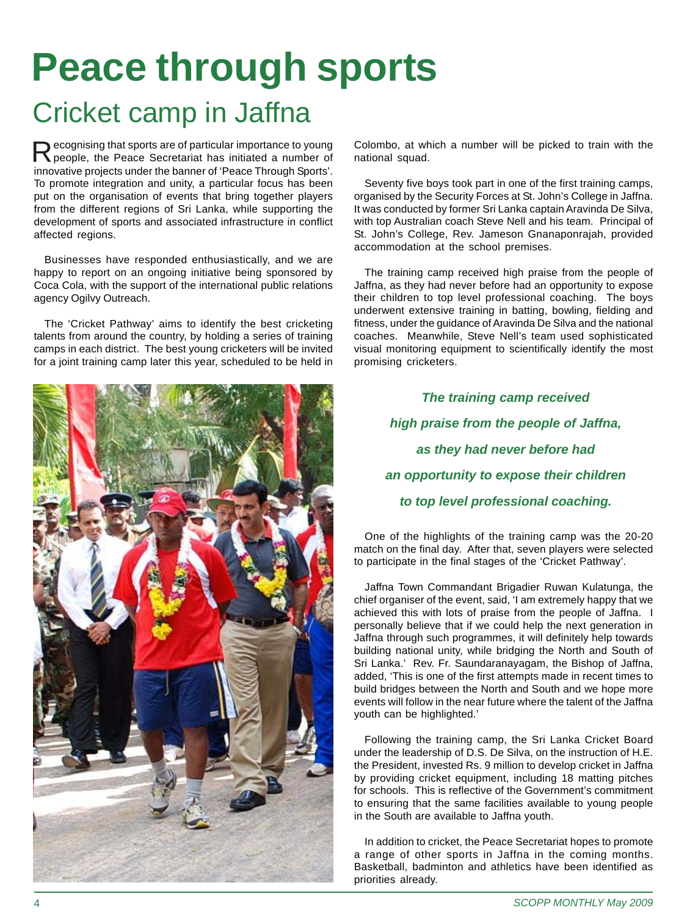### **Peace through sports** Cricket camp in Jaffna

Recognising that sports are of particular importance to young<br>people, the Peace Secretariat has initiated a number of innovative projects under the banner of 'Peace Through Sports'. To promote integration and unity, a particular focus has been put on the organisation of events that bring together players from the different regions of Sri Lanka, while supporting the development of sports and associated infrastructure in conflict affected regions.

Businesses have responded enthusiastically, and we are happy to report on an ongoing initiative being sponsored by Coca Cola, with the support of the international public relations agency Ogilvy Outreach.

The 'Cricket Pathway' aims to identify the best cricketing talents from around the country, by holding a series of training camps in each district. The best young cricketers will be invited for a joint training camp later this year, scheduled to be held in



Colombo, at which a number will be picked to train with the national squad.

Seventy five boys took part in one of the first training camps, organised by the Security Forces at St. John's College in Jaffna. It was conducted by former Sri Lanka captain Aravinda De Silva, with top Australian coach Steve Nell and his team. Principal of St. John's College, Rev. Jameson Gnanaponrajah, provided accommodation at the school premises.

The training camp received high praise from the people of Jaffna, as they had never before had an opportunity to expose their children to top level professional coaching. The boys underwent extensive training in batting, bowling, fielding and fitness, under the guidance of Aravinda De Silva and the national coaches. Meanwhile, Steve Nell's team used sophisticated visual monitoring equipment to scientifically identify the most promising cricketers.

> *The training camp received high praise from the people of Jaffna, as they had never before had an opportunity to expose their children to top level professional coaching.*

One of the highlights of the training camp was the 20-20 match on the final day. After that, seven players were selected to participate in the final stages of the 'Cricket Pathway'.

Jaffna Town Commandant Brigadier Ruwan Kulatunga, the chief organiser of the event, said, 'I am extremely happy that we achieved this with lots of praise from the people of Jaffna. I personally believe that if we could help the next generation in Jaffna through such programmes, it will definitely help towards building national unity, while bridging the North and South of Sri Lanka.' Rev. Fr. Saundaranayagam, the Bishop of Jaffna, added, 'This is one of the first attempts made in recent times to build bridges between the North and South and we hope more events will follow in the near future where the talent of the Jaffna youth can be highlighted.'

Following the training camp, the Sri Lanka Cricket Board under the leadership of D.S. De Silva, on the instruction of H.E. the President, invested Rs. 9 million to develop cricket in Jaffna by providing cricket equipment, including 18 matting pitches for schools. This is reflective of the Government's commitment to ensuring that the same facilities available to young people in the South are available to Jaffna youth.

In addition to cricket, the Peace Secretariat hopes to promote a range of other sports in Jaffna in the coming months. Basketball, badminton and athletics have been identified as priorities already.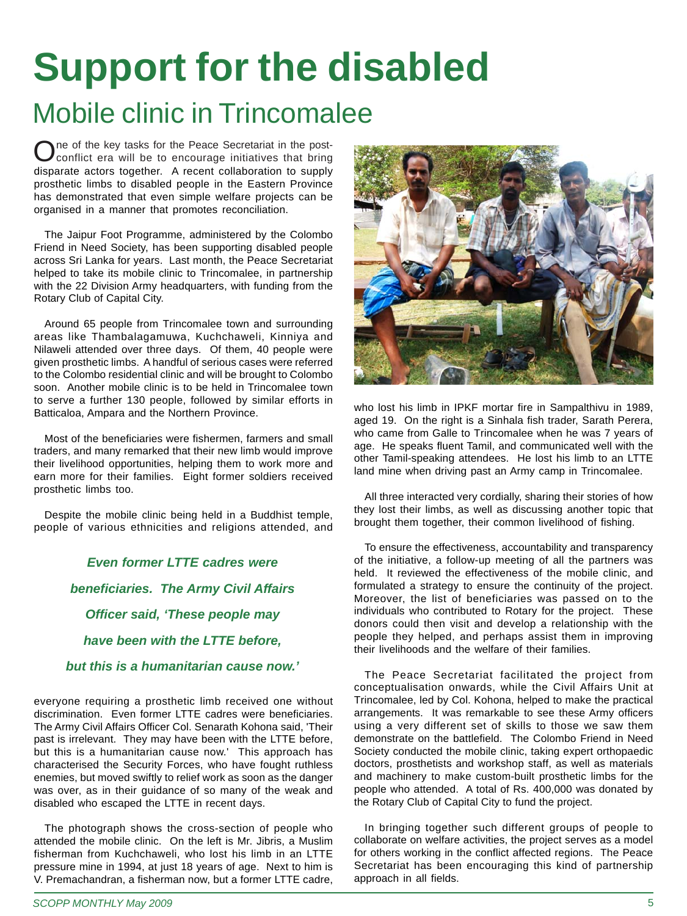### **Support for the disabled** Mobile clinic in Trincomalee

The of the key tasks for the Peace Secretariat in the postconflict era will be to encourage initiatives that bring disparate actors together. A recent collaboration to supply prosthetic limbs to disabled people in the Eastern Province has demonstrated that even simple welfare projects can be organised in a manner that promotes reconciliation.

The Jaipur Foot Programme, administered by the Colombo Friend in Need Society, has been supporting disabled people across Sri Lanka for years. Last month, the Peace Secretariat helped to take its mobile clinic to Trincomalee, in partnership with the 22 Division Army headquarters, with funding from the Rotary Club of Capital City.

Around 65 people from Trincomalee town and surrounding areas like Thambalagamuwa, Kuchchaweli, Kinniya and Nilaweli attended over three days. Of them, 40 people were given prosthetic limbs. A handful of serious cases were referred to the Colombo residential clinic and will be brought to Colombo soon. Another mobile clinic is to be held in Trincomalee town to serve a further 130 people, followed by similar efforts in Batticaloa, Ampara and the Northern Province.

Most of the beneficiaries were fishermen, farmers and small traders, and many remarked that their new limb would improve their livelihood opportunities, helping them to work more and earn more for their families. Eight former soldiers received prosthetic limbs too.

Despite the mobile clinic being held in a Buddhist temple, people of various ethnicities and religions attended, and

> *Even former LTTE cadres were beneficiaries. The Army Civil Affairs Officer said, 'These people may have been with the LTTE before, but this is a humanitarian cause now.'*

everyone requiring a prosthetic limb received one without discrimination. Even former LTTE cadres were beneficiaries. The Army Civil Affairs Officer Col. Senarath Kohona said, 'Their past is irrelevant. They may have been with the LTTE before, but this is a humanitarian cause now.' This approach has characterised the Security Forces, who have fought ruthless enemies, but moved swiftly to relief work as soon as the danger was over, as in their guidance of so many of the weak and disabled who escaped the LTTE in recent days.

The photograph shows the cross-section of people who attended the mobile clinic. On the left is Mr. Jibris, a Muslim fisherman from Kuchchaweli, who lost his limb in an LTTE pressure mine in 1994, at just 18 years of age. Next to him is V. Premachandran, a fisherman now, but a former LTTE cadre,



who lost his limb in IPKF mortar fire in Sampalthivu in 1989, aged 19. On the right is a Sinhala fish trader, Sarath Perera, who came from Galle to Trincomalee when he was 7 years of age. He speaks fluent Tamil, and communicated well with the other Tamil-speaking attendees. He lost his limb to an LTTE land mine when driving past an Army camp in Trincomalee.

All three interacted very cordially, sharing their stories of how they lost their limbs, as well as discussing another topic that brought them together, their common livelihood of fishing.

To ensure the effectiveness, accountability and transparency of the initiative, a follow-up meeting of all the partners was held. It reviewed the effectiveness of the mobile clinic, and formulated a strategy to ensure the continuity of the project. Moreover, the list of beneficiaries was passed on to the individuals who contributed to Rotary for the project. These donors could then visit and develop a relationship with the people they helped, and perhaps assist them in improving their livelihoods and the welfare of their families.

The Peace Secretariat facilitated the project from conceptualisation onwards, while the Civil Affairs Unit at Trincomalee, led by Col. Kohona, helped to make the practical arrangements. It was remarkable to see these Army officers using a very different set of skills to those we saw them demonstrate on the battlefield. The Colombo Friend in Need Society conducted the mobile clinic, taking expert orthopaedic doctors, prosthetists and workshop staff, as well as materials and machinery to make custom-built prosthetic limbs for the people who attended. A total of Rs. 400,000 was donated by the Rotary Club of Capital City to fund the project.

In bringing together such different groups of people to collaborate on welfare activities, the project serves as a model for others working in the conflict affected regions. The Peace Secretariat has been encouraging this kind of partnership approach in all fields.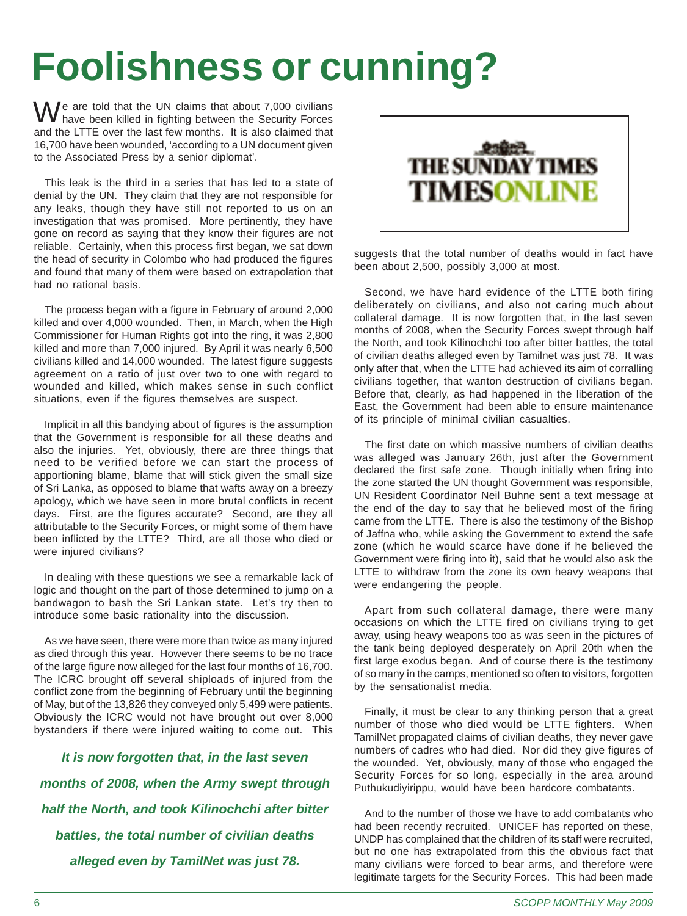## **Foolishness or cunning?**

and the LTTE over the last few months. It is also claimed that 16,700 have been wounded, 'according to a UN document given to the Associated Press by a senior diplomat'. We are told that the UN claims that about 7,000 civilians<br>have been killed in fighting between the Security Forces

This leak is the third in a series that has led to a state of denial by the UN. They claim that they are not responsible for any leaks, though they have still not reported to us on an investigation that was promised. More pertinently, they have gone on record as saying that they know their figures are not reliable. Certainly, when this process first began, we sat down the head of security in Colombo who had produced the figures and found that many of them were based on extrapolation that had no rational basis.

The process began with a figure in February of around 2,000 killed and over 4,000 wounded. Then, in March, when the High Commissioner for Human Rights got into the ring, it was 2,800 killed and more than 7,000 injured. By April it was nearly 6,500 civilians killed and 14,000 wounded. The latest figure suggests agreement on a ratio of just over two to one with regard to wounded and killed, which makes sense in such conflict situations, even if the figures themselves are suspect.

Implicit in all this bandying about of figures is the assumption that the Government is responsible for all these deaths and also the injuries. Yet, obviously, there are three things that need to be verified before we can start the process of apportioning blame, blame that will stick given the small size of Sri Lanka, as opposed to blame that wafts away on a breezy apology, which we have seen in more brutal conflicts in recent days. First, are the figures accurate? Second, are they all attributable to the Security Forces, or might some of them have been inflicted by the LTTE? Third, are all those who died or were injured civilians?

In dealing with these questions we see a remarkable lack of logic and thought on the part of those determined to jump on a bandwagon to bash the Sri Lankan state. Let's try then to introduce some basic rationality into the discussion.

As we have seen, there were more than twice as many injured as died through this year. However there seems to be no trace of the large figure now alleged for the last four months of 16,700. The ICRC brought off several shiploads of injured from the conflict zone from the beginning of February until the beginning of May, but of the 13,826 they conveyed only 5,499 were patients. Obviously the ICRC would not have brought out over 8,000 bystanders if there were injured waiting to come out. This

*It is now forgotten that, in the last seven months of 2008, when the Army swept through half the North, and took Kilinochchi after bitter battles, the total number of civilian deaths alleged even by TamilNet was just 78.*



suggests that the total number of deaths would in fact have been about 2,500, possibly 3,000 at most.

Second, we have hard evidence of the LTTE both firing deliberately on civilians, and also not caring much about collateral damage. It is now forgotten that, in the last seven months of 2008, when the Security Forces swept through half the North, and took Kilinochchi too after bitter battles, the total of civilian deaths alleged even by Tamilnet was just 78. It was only after that, when the LTTE had achieved its aim of corralling civilians together, that wanton destruction of civilians began. Before that, clearly, as had happened in the liberation of the East, the Government had been able to ensure maintenance of its principle of minimal civilian casualties.

The first date on which massive numbers of civilian deaths was alleged was January 26th, just after the Government declared the first safe zone. Though initially when firing into the zone started the UN thought Government was responsible, UN Resident Coordinator Neil Buhne sent a text message at the end of the day to say that he believed most of the firing came from the LTTE. There is also the testimony of the Bishop of Jaffna who, while asking the Government to extend the safe zone (which he would scarce have done if he believed the Government were firing into it), said that he would also ask the LTTE to withdraw from the zone its own heavy weapons that were endangering the people.

Apart from such collateral damage, there were many occasions on which the LTTE fired on civilians trying to get away, using heavy weapons too as was seen in the pictures of the tank being deployed desperately on April 20th when the first large exodus began. And of course there is the testimony of so many in the camps, mentioned so often to visitors, forgotten by the sensationalist media.

Finally, it must be clear to any thinking person that a great number of those who died would be LTTE fighters. When TamilNet propagated claims of civilian deaths, they never gave numbers of cadres who had died. Nor did they give figures of the wounded. Yet, obviously, many of those who engaged the Security Forces for so long, especially in the area around Puthukudiyirippu, would have been hardcore combatants.

And to the number of those we have to add combatants who had been recently recruited. UNICEF has reported on these, UNDP has complained that the children of its staff were recruited, but no one has extrapolated from this the obvious fact that many civilians were forced to bear arms, and therefore were legitimate targets for the Security Forces. This had been made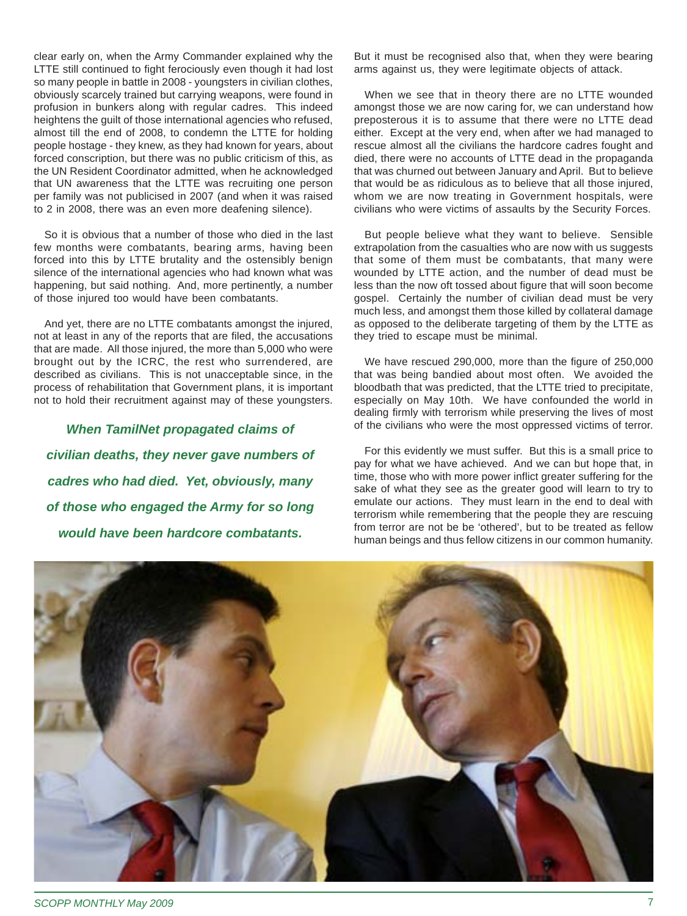clear early on, when the Army Commander explained why the LTTE still continued to fight ferociously even though it had lost so many people in battle in 2008 - youngsters in civilian clothes, obviously scarcely trained but carrying weapons, were found in profusion in bunkers along with regular cadres. This indeed heightens the guilt of those international agencies who refused, almost till the end of 2008, to condemn the LTTE for holding people hostage - they knew, as they had known for years, about forced conscription, but there was no public criticism of this, as the UN Resident Coordinator admitted, when he acknowledged that UN awareness that the LTTE was recruiting one person per family was not publicised in 2007 (and when it was raised to 2 in 2008, there was an even more deafening silence).

So it is obvious that a number of those who died in the last few months were combatants, bearing arms, having been forced into this by LTTE brutality and the ostensibly benign silence of the international agencies who had known what was happening, but said nothing. And, more pertinently, a number of those injured too would have been combatants.

And yet, there are no LTTE combatants amongst the injured, not at least in any of the reports that are filed, the accusations that are made. All those injured, the more than 5,000 who were brought out by the ICRC, the rest who surrendered, are described as civilians. This is not unacceptable since, in the process of rehabilitation that Government plans, it is important not to hold their recruitment against may of these youngsters.

*When TamilNet propagated claims of civilian deaths, they never gave numbers of cadres who had died. Yet, obviously, many of those who engaged the Army for so long would have been hardcore combatants.*

But it must be recognised also that, when they were bearing arms against us, they were legitimate objects of attack.

When we see that in theory there are no LTTE wounded amongst those we are now caring for, we can understand how preposterous it is to assume that there were no LTTE dead either. Except at the very end, when after we had managed to rescue almost all the civilians the hardcore cadres fought and died, there were no accounts of LTTE dead in the propaganda that was churned out between January and April. But to believe that would be as ridiculous as to believe that all those injured, whom we are now treating in Government hospitals, were civilians who were victims of assaults by the Security Forces.

But people believe what they want to believe. Sensible extrapolation from the casualties who are now with us suggests that some of them must be combatants, that many were wounded by LTTE action, and the number of dead must be less than the now oft tossed about figure that will soon become gospel. Certainly the number of civilian dead must be very much less, and amongst them those killed by collateral damage as opposed to the deliberate targeting of them by the LTTE as they tried to escape must be minimal.

We have rescued 290,000, more than the figure of 250,000 that was being bandied about most often. We avoided the bloodbath that was predicted, that the LTTE tried to precipitate, especially on May 10th. We have confounded the world in dealing firmly with terrorism while preserving the lives of most of the civilians who were the most oppressed victims of terror.

For this evidently we must suffer. But this is a small price to pay for what we have achieved. And we can but hope that, in time, those who with more power inflict greater suffering for the sake of what they see as the greater good will learn to try to emulate our actions. They must learn in the end to deal with terrorism while remembering that the people they are rescuing from terror are not be be 'othered', but to be treated as fellow human beings and thus fellow citizens in our common humanity.